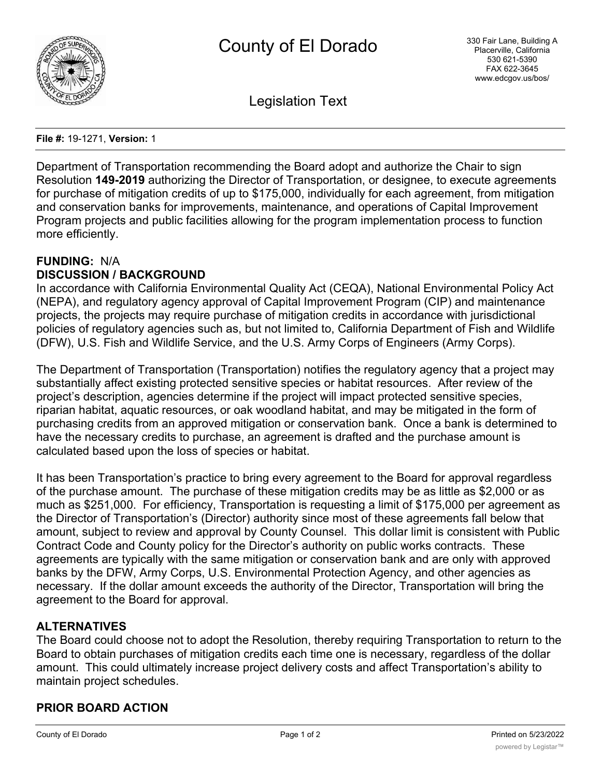

Legislation Text

**File #:** 19-1271, **Version:** 1

Department of Transportation recommending the Board adopt and authorize the Chair to sign Resolution **149-2019** authorizing the Director of Transportation, or designee, to execute agreements for purchase of mitigation credits of up to \$175,000, individually for each agreement, from mitigation and conservation banks for improvements, maintenance, and operations of Capital Improvement Program projects and public facilities allowing for the program implementation process to function more efficiently.

# **FUNDING:** N/A **DISCUSSION / BACKGROUND**

In accordance with California Environmental Quality Act (CEQA), National Environmental Policy Act (NEPA), and regulatory agency approval of Capital Improvement Program (CIP) and maintenance projects, the projects may require purchase of mitigation credits in accordance with jurisdictional policies of regulatory agencies such as, but not limited to, California Department of Fish and Wildlife (DFW), U.S. Fish and Wildlife Service, and the U.S. Army Corps of Engineers (Army Corps).

The Department of Transportation (Transportation) notifies the regulatory agency that a project may substantially affect existing protected sensitive species or habitat resources. After review of the project's description, agencies determine if the project will impact protected sensitive species, riparian habitat, aquatic resources, or oak woodland habitat, and may be mitigated in the form of purchasing credits from an approved mitigation or conservation bank. Once a bank is determined to have the necessary credits to purchase, an agreement is drafted and the purchase amount is calculated based upon the loss of species or habitat.

It has been Transportation's practice to bring every agreement to the Board for approval regardless of the purchase amount. The purchase of these mitigation credits may be as little as \$2,000 or as much as \$251,000. For efficiency, Transportation is requesting a limit of \$175,000 per agreement as the Director of Transportation's (Director) authority since most of these agreements fall below that amount, subject to review and approval by County Counsel. This dollar limit is consistent with Public Contract Code and County policy for the Director's authority on public works contracts. These agreements are typically with the same mitigation or conservation bank and are only with approved banks by the DFW, Army Corps, U.S. Environmental Protection Agency, and other agencies as necessary. If the dollar amount exceeds the authority of the Director, Transportation will bring the agreement to the Board for approval.

# **ALTERNATIVES**

The Board could choose not to adopt the Resolution, thereby requiring Transportation to return to the Board to obtain purchases of mitigation credits each time one is necessary, regardless of the dollar amount. This could ultimately increase project delivery costs and affect Transportation's ability to maintain project schedules.

### **PRIOR BOARD ACTION**